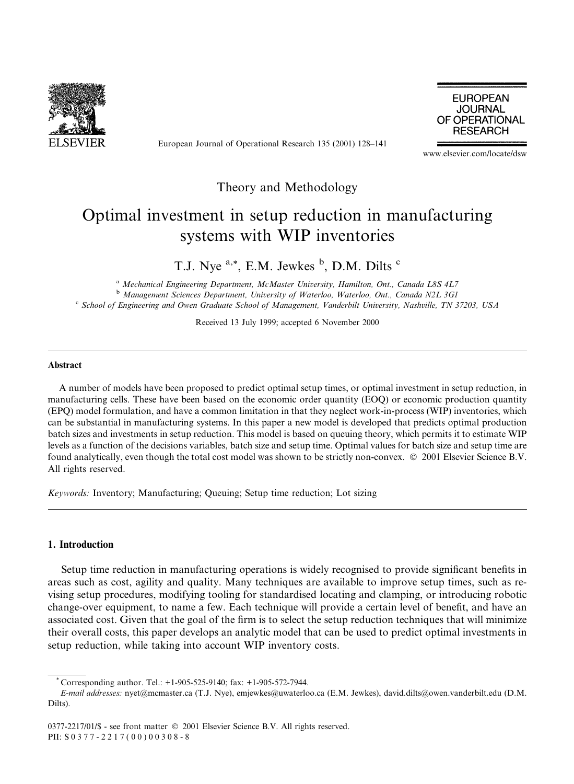

European Journal of Operational Research 135 (2001) 128-141

**EUROPEAN JOURNAL** OF OPERATIONAL **RESEARCH** 

www.elsevier.com/locate/dsw

### Theory and Methodology

## Optimal investment in setup reduction in manufacturing systems with WIP inventories

T.J. Nye<sup>a,\*</sup>, E.M. Jewkes<sup>b</sup>, D.M. Dilts<sup>c</sup>

<sup>a</sup> Mechanical Engineering Department, McMaster University, Hamilton, Ont., Canada L8S 4L7 <sup>b</sup> Management Sciences Department, University of Waterloo, Waterloo, Ont., Canada N2L 3G1 <sup>c</sup> School of Engineering and Owen Graduate School of Management, Vanderbilt University, Nashville, TN 37203, USA

Received 13 July 1999; accepted 6 November 2000

#### **Abstract**

A number of models have been proposed to predict optimal setup times, or optimal investment in setup reduction, in manufacturing cells. These have been based on the economic order quantity (EOQ) or economic production quantity (EPQ) model formulation, and have a common limitation in that they neglect work-in-process (WIP) inventories, which can be substantial in manufacturing systems. In this paper a new model is developed that predicts optimal production batch sizes and investments in setup reduction. This model is based on queuing theory, which permits it to estimate WIP levels as a function of the decisions variables, batch size and setup time. Optimal values for batch size and setup time are found analytically, even though the total cost model was shown to be strictly non-convex. © 2001 Elsevier Science B.V. All rights reserved.

Keywords: Inventory; Manufacturing; Queuing; Setup time reduction; Lot sizing

#### 1. Introduction

Setup time reduction in manufacturing operations is widely recognised to provide significant benefits in areas such as cost, agility and quality. Many techniques are available to improve setup times, such as revising setup procedures, modifying tooling for standardised locating and clamping, or introducing robotic change-over equipment, to name a few. Each technique will provide a certain level of benefit, and have an associated cost. Given that the goal of the firm is to select the setup reduction techniques that will minimize their overall costs, this paper develops an analytic model that can be used to predict optimal investments in setup reduction, while taking into account WIP inventory costs.

Corresponding author. Tel.:  $+1-905-525-9140$ ; fax:  $+1-905-572-7944$ .

E-mail addresses: nyet@mcmaster.ca (T.J. Nye), emjewkes@uwaterloo.ca (E.M. Jewkes), david.dilts@owen.vanderbilt.edu (D.M. Dilts).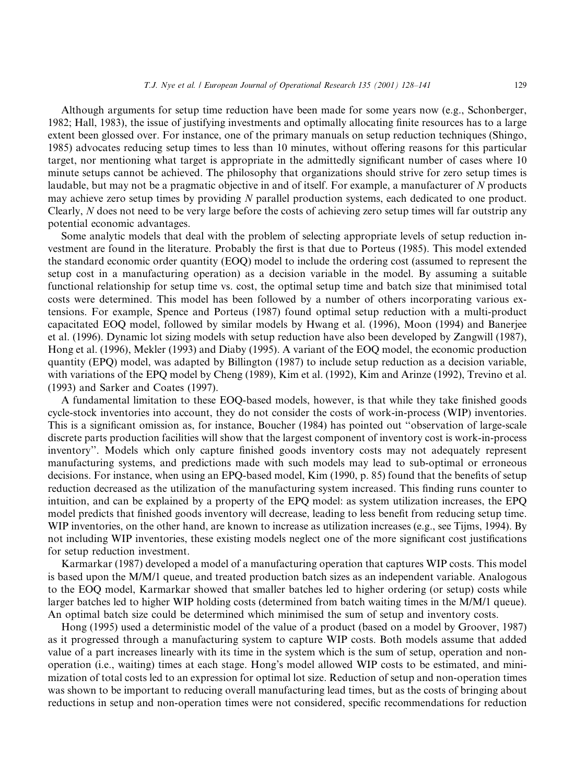Although arguments for setup time reduction have been made for some years now (e.g., Schonberger, 1982; Hall, 1983), the issue of justifying investments and optimally allocating finite resources has to a large extent been glossed over. For instance, one of the primary manuals on setup reduction techniques (Shingo, 1985) advocates reducing setup times to less than 10 minutes, without offering reasons for this particular target, nor mentioning what target is appropriate in the admittedly significant number of cases where 10 minute setups cannot be achieved. The philosophy that organizations should strive for zero setup times is laudable, but may not be a pragmatic objective in and of itself. For example, a manufacturer of N products may achieve zero setup times by providing N parallel production systems, each dedicated to one product. Clearly, N does not need to be very large before the costs of achieving zero setup times will far outstrip any potential economic advantages.

Some analytic models that deal with the problem of selecting appropriate levels of setup reduction investment are found in the literature. Probably the first is that due to Porteus (1985). This model extended the standard economic order quantity (EOQ) model to include the ordering cost (assumed to represent the setup cost in a manufacturing operation) as a decision variable in the model. By assuming a suitable functional relationship for setup time vs. cost, the optimal setup time and batch size that minimised total costs were determined. This model has been followed by a number of others incorporating various extensions. For example, Spence and Porteus (1987) found optimal setup reduction with a multi-product capacitated EOQ model, followed by similar models by Hwang et al. (1996), Moon (1994) and Banerjee et al. (1996). Dynamic lot sizing models with setup reduction have also been developed by Zangwill (1987), Hong et al. (1996), Mekler (1993) and Diaby (1995). A variant of the EOQ model, the economic production quantity (EPQ) model, was adapted by Billington (1987) to include setup reduction as a decision variable, with variations of the EPQ model by Cheng (1989), Kim et al. (1992), Kim and Arinze (1992), Trevino et al. (1993) and Sarker and Coates (1997).

A fundamental limitation to these EOQ-based models, however, is that while they take finished goods cycle-stock inventories into account, they do not consider the costs of work-in-process (WIP) inventories. This is a significant omission as, for instance, Boucher (1984) has pointed out "observation of large-scale discrete parts production facilities will show that the largest component of inventory cost is work-in-process inventory". Models which only capture finished goods inventory costs may not adequately represent manufacturing systems, and predictions made with such models may lead to sub-optimal or erroneous decisions. For instance, when using an EPQ-based model, Kim (1990, p. 85) found that the benefits of setup reduction decreased as the utilization of the manufacturing system increased. This finding runs counter to intuition, and can be explained by a property of the EPQ model: as system utilization increases, the EPQ model predicts that finished goods inventory will decrease, leading to less benefit from reducing setup time. WIP inventories, on the other hand, are known to increase as utilization increases (e.g., see Tijms, 1994). By not including WIP inventories, these existing models neglect one of the more significant cost justifications for setup reduction investment.

Karmarkar (1987) developed a model of a manufacturing operation that captures WIP costs. This model is based upon the M/M/1 queue, and treated production batch sizes as an independent variable. Analogous to the EOQ model, Karmarkar showed that smaller batches led to higher ordering (or setup) costs while larger batches led to higher WIP holding costs (determined from batch waiting times in the M/M/1 queue). An optimal batch size could be determined which minimised the sum of setup and inventory costs.

Hong (1995) used a deterministic model of the value of a product (based on a model by Groover, 1987) as it progressed through a manufacturing system to capture WIP costs. Both models assume that added value of a part increases linearly with its time in the system which is the sum of setup, operation and nonoperation (i.e., waiting) times at each stage. Hong's model allowed WIP costs to be estimated, and minimization of total costs led to an expression for optimal lot size. Reduction of setup and non-operation times was shown to be important to reducing overall manufacturing lead times, but as the costs of bringing about reductions in setup and non-operation times were not considered, specific recommendations for reduction